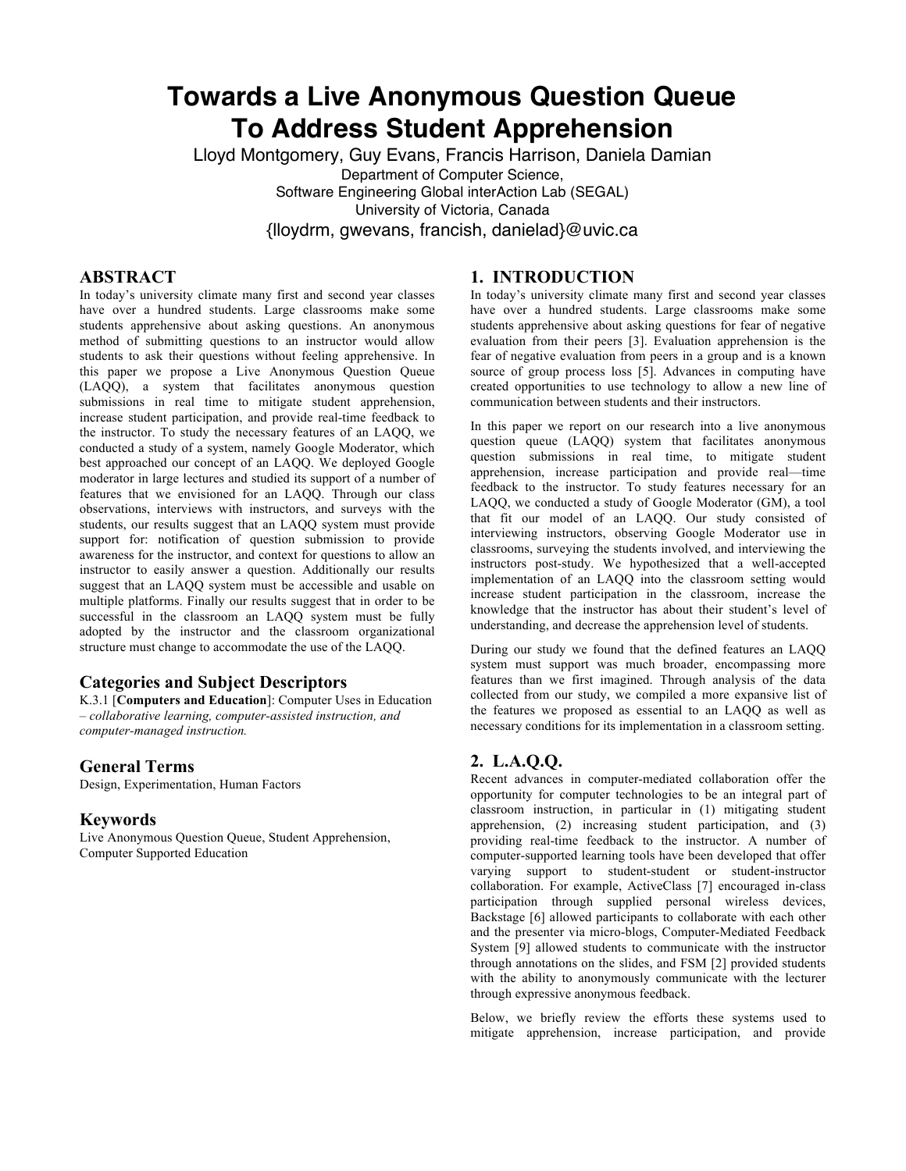# **Towards a Live Anonymous Question Queue To Address Student Apprehension**

Lloyd Montgomery, Guy Evans, Francis Harrison, Daniela Damian Department of Computer Science, Software Engineering Global interAction Lab (SEGAL) University of Victoria, Canada {lloydrm, gwevans, francish, danielad}@uvic.ca

# **ABSTRACT**

In today's university climate many first and second year classes have over a hundred students. Large classrooms make some students apprehensive about asking questions. An anonymous method of submitting questions to an instructor would allow students to ask their questions without feeling apprehensive. In this paper we propose a Live Anonymous Question Queue (LAQQ), a system that facilitates anonymous question submissions in real time to mitigate student apprehension, increase student participation, and provide real-time feedback to the instructor. To study the necessary features of an LAQQ, we conducted a study of a system, namely Google Moderator, which best approached our concept of an LAQQ. We deployed Google moderator in large lectures and studied its support of a number of features that we envisioned for an LAQQ. Through our class observations, interviews with instructors, and surveys with the students, our results suggest that an LAQQ system must provide support for: notification of question submission to provide awareness for the instructor, and context for questions to allow an instructor to easily answer a question. Additionally our results suggest that an LAQQ system must be accessible and usable on multiple platforms. Finally our results suggest that in order to be successful in the classroom an LAQQ system must be fully adopted by the instructor and the classroom organizational structure must change to accommodate the use of the LAQQ.

# **Categories and Subject Descriptors**

K.3.1 [**Computers and Education**]: Computer Uses in Education – *collaborative learning, computer-assisted instruction, and computer-managed instruction.* 

# **General Terms**

Design, Experimentation, Human Factors

# **Keywords**

Live Anonymous Question Queue, Student Apprehension, Computer Supported Education

# **1. INTRODUCTION**

In today's university climate many first and second year classes have over a hundred students. Large classrooms make some students apprehensive about asking questions for fear of negative evaluation from their peers [3]. Evaluation apprehension is the fear of negative evaluation from peers in a group and is a known source of group process loss [5]. Advances in computing have created opportunities to use technology to allow a new line of communication between students and their instructors.

In this paper we report on our research into a live anonymous question queue (LAQQ) system that facilitates anonymous question submissions in real time, to mitigate student apprehension, increase participation and provide real—time feedback to the instructor. To study features necessary for an LAQQ, we conducted a study of Google Moderator (GM), a tool that fit our model of an LAQQ. Our study consisted of interviewing instructors, observing Google Moderator use in classrooms, surveying the students involved, and interviewing the instructors post-study. We hypothesized that a well-accepted implementation of an LAQQ into the classroom setting would increase student participation in the classroom, increase the knowledge that the instructor has about their student's level of understanding, and decrease the apprehension level of students.

During our study we found that the defined features an LAQQ system must support was much broader, encompassing more features than we first imagined. Through analysis of the data collected from our study, we compiled a more expansive list of the features we proposed as essential to an LAQQ as well as necessary conditions for its implementation in a classroom setting.

# **2. L.A.Q.Q.**

Recent advances in computer-mediated collaboration offer the opportunity for computer technologies to be an integral part of classroom instruction, in particular in (1) mitigating student apprehension, (2) increasing student participation, and (3) providing real-time feedback to the instructor. A number of computer-supported learning tools have been developed that offer varying support to student-student or student-instructor collaboration. For example, ActiveClass [7] encouraged in-class participation through supplied personal wireless devices, Backstage [6] allowed participants to collaborate with each other and the presenter via micro-blogs, Computer-Mediated Feedback System [9] allowed students to communicate with the instructor through annotations on the slides, and FSM [2] provided students with the ability to anonymously communicate with the lecturer through expressive anonymous feedback.

Below, we briefly review the efforts these systems used to mitigate apprehension, increase participation, and provide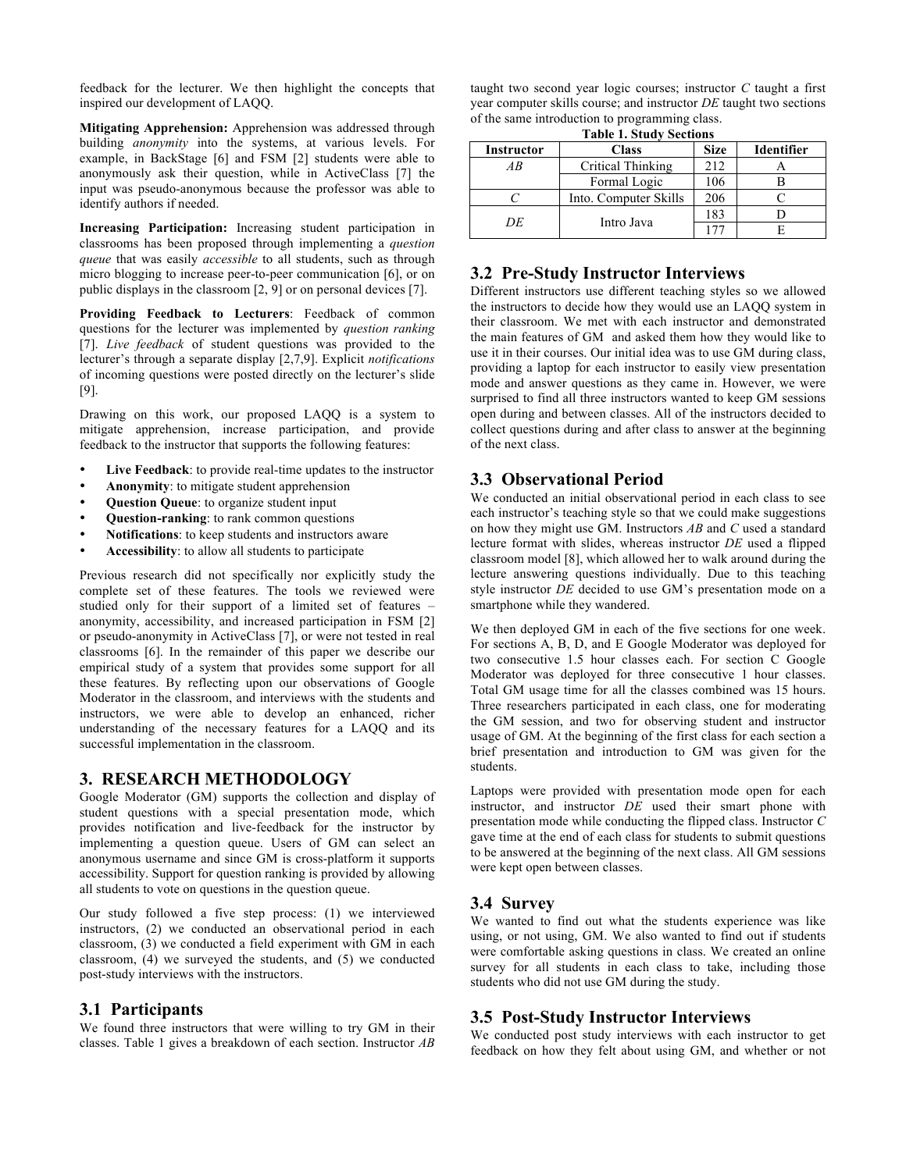feedback for the lecturer. We then highlight the concepts that inspired our development of LAQQ.

**Mitigating Apprehension:** Apprehension was addressed through building *anonymity* into the systems, at various levels. For example, in BackStage [6] and FSM [2] students were able to anonymously ask their question, while in ActiveClass [7] the input was pseudo-anonymous because the professor was able to identify authors if needed.

**Increasing Participation:** Increasing student participation in classrooms has been proposed through implementing a *question queue* that was easily *accessible* to all students, such as through micro blogging to increase peer-to-peer communication [6], or on public displays in the classroom [2, 9] or on personal devices [7].

**Providing Feedback to Lecturers**: Feedback of common questions for the lecturer was implemented by *question ranking* [7]. *Live feedback* of student questions was provided to the lecturer's through a separate display [2,7,9]. Explicit *notifications* of incoming questions were posted directly on the lecturer's slide [9].

Drawing on this work, our proposed LAQQ is a system to mitigate apprehension, increase participation, and provide feedback to the instructor that supports the following features:

- **Live Feedback**: to provide real-time updates to the instructor
- **Anonymity**: to mitigate student apprehension
- **Question Queue**: to organize student input
- **Question-ranking**: to rank common questions
- **Notifications**: to keep students and instructors aware
- **Accessibility**: to allow all students to participate

Previous research did not specifically nor explicitly study the complete set of these features. The tools we reviewed were studied only for their support of a limited set of features – anonymity, accessibility, and increased participation in FSM [2] or pseudo-anonymity in ActiveClass [7], or were not tested in real classrooms [6]. In the remainder of this paper we describe our empirical study of a system that provides some support for all these features. By reflecting upon our observations of Google Moderator in the classroom, and interviews with the students and instructors, we were able to develop an enhanced, richer understanding of the necessary features for a LAQQ and its successful implementation in the classroom.

# **3. RESEARCH METHODOLOGY**

Google Moderator (GM) supports the collection and display of student questions with a special presentation mode, which provides notification and live-feedback for the instructor by implementing a question queue. Users of GM can select an anonymous username and since GM is cross-platform it supports accessibility. Support for question ranking is provided by allowing all students to vote on questions in the question queue.

Our study followed a five step process: (1) we interviewed instructors, (2) we conducted an observational period in each classroom, (3) we conducted a field experiment with GM in each classroom, (4) we surveyed the students, and (5) we conducted post-study interviews with the instructors.

## **3.1 Participants**

We found three instructors that were willing to try GM in their classes. Table 1 gives a breakdown of each section. Instructor *AB*

taught two second year logic courses; instructor *C* taught a first year computer skills course; and instructor *DE* taught two sections of the same introduction to programming class.

**Table 1. Study Sections**

| <b>Instructor</b> | <b>Class</b>          | <b>Size</b> | <b>Identifier</b> |
|-------------------|-----------------------|-------------|-------------------|
| AB                | Critical Thinking     | 212         |                   |
|                   | Formal Logic          | 106         |                   |
|                   | Into. Computer Skills | 206         |                   |
| DE                |                       | 183         |                   |
|                   | Intro Java            |             |                   |

# **3.2 Pre-Study Instructor Interviews**

Different instructors use different teaching styles so we allowed the instructors to decide how they would use an LAQQ system in their classroom. We met with each instructor and demonstrated the main features of GM and asked them how they would like to use it in their courses. Our initial idea was to use GM during class, providing a laptop for each instructor to easily view presentation mode and answer questions as they came in. However, we were surprised to find all three instructors wanted to keep GM sessions open during and between classes. All of the instructors decided to collect questions during and after class to answer at the beginning of the next class.

# **3.3 Observational Period**

We conducted an initial observational period in each class to see each instructor's teaching style so that we could make suggestions on how they might use GM. Instructors *AB* and *C* used a standard lecture format with slides, whereas instructor *DE* used a flipped classroom model [8], which allowed her to walk around during the lecture answering questions individually. Due to this teaching style instructor *DE* decided to use GM's presentation mode on a smartphone while they wandered.

We then deployed GM in each of the five sections for one week. For sections A, B, D, and E Google Moderator was deployed for two consecutive 1.5 hour classes each. For section C Google Moderator was deployed for three consecutive 1 hour classes. Total GM usage time for all the classes combined was 15 hours. Three researchers participated in each class, one for moderating the GM session, and two for observing student and instructor usage of GM. At the beginning of the first class for each section a brief presentation and introduction to GM was given for the students.

Laptops were provided with presentation mode open for each instructor, and instructor *DE* used their smart phone with presentation mode while conducting the flipped class. Instructor *C* gave time at the end of each class for students to submit questions to be answered at the beginning of the next class. All GM sessions were kept open between classes.

# **3.4 Survey**

We wanted to find out what the students experience was like using, or not using, GM. We also wanted to find out if students were comfortable asking questions in class. We created an online survey for all students in each class to take, including those students who did not use GM during the study.

# **3.5 Post-Study Instructor Interviews**

We conducted post study interviews with each instructor to get feedback on how they felt about using GM, and whether or not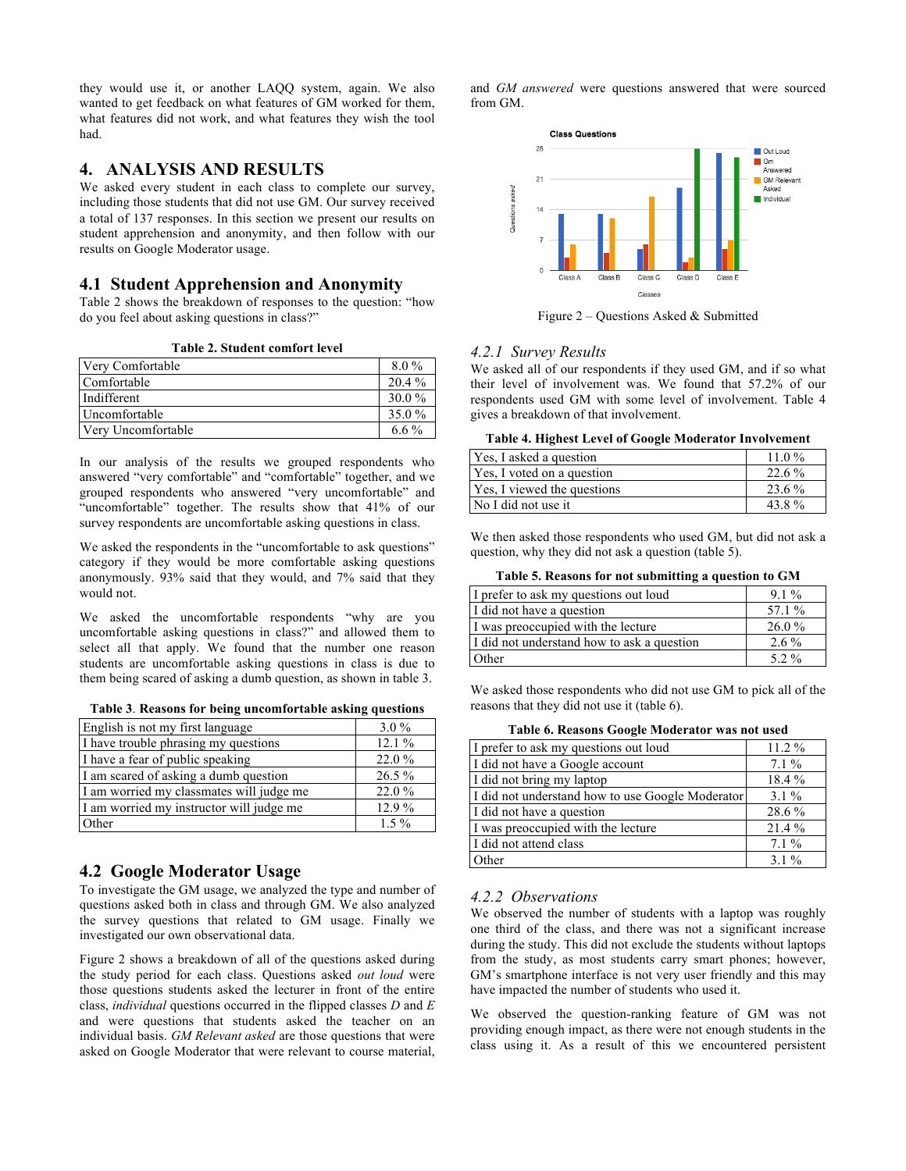they would use it, or another LAQQ system, again. We also wanted to get feedback on what features of GM worked for them, what features did not work, and what features they wish the tool had.

# **4. ANALYSIS AND RESULTS**

We asked every student in each class to complete our survey, including those students that did not use GM. Our survey received a total of 137 responses. In this section we present our results on student apprehension and anonymity, and then follow with our results on Google Moderator usage.

## **4.1 Student Apprehension and Anonymity**

Table 2 shows the breakdown of responses to the question: "how do you feel about asking questions in class?"

**Table 2. Student comfort level**

| Very Comfortable     | $8.0\%$  |
|----------------------|----------|
| Comfortable          | 20.4 %   |
| Indifferent          | $30.0\%$ |
| <i>Uncomfortable</i> | 35.0 %   |
| Very Uncomfortable   | 6.6 $\%$ |

In our analysis of the results we grouped respondents who answered "very comfortable" and "comfortable" together, and we grouped respondents who answered "very uncomfortable" and "uncomfortable" together. The results show that 41% of our survey respondents are uncomfortable asking questions in class.

We asked the respondents in the "uncomfortable to ask questions" category if they would be more comfortable asking questions anonymously. 93% said that they would, and 7% said that they would not.

We asked the uncomfortable respondents "why are you uncomfortable asking questions in class?" and allowed them to select all that apply. We found that the number one reason students are uncomfortable asking questions in class is due to them being scared of asking a dumb question, as shown in table 3.

|  |  |  |  |  | Table 3. Reasons for being uncomfortable asking questions |  |  |
|--|--|--|--|--|-----------------------------------------------------------|--|--|
|--|--|--|--|--|-----------------------------------------------------------|--|--|

| English is not my first language         | $3.0\%$  |
|------------------------------------------|----------|
| I have trouble phrasing my questions     | 12.1%    |
| I have a fear of public speaking         | 22.0 %   |
| I am scared of asking a dumb question    | $26.5\%$ |
| I am worried my classmates will judge me | 22.0%    |
| I am worried my instructor will judge me | $12.9\%$ |
| Other                                    | $1.5\%$  |

# **4.2 Google Moderator Usage**

To investigate the GM usage, we analyzed the type and number of questions asked both in class and through GM. We also analyzed the survey questions that related to GM usage. Finally we investigated our own observational data.

Figure 2 shows a breakdown of all of the questions asked during the study period for each class. Questions asked *out loud* were those questions students asked the lecturer in front of the entire class, *individual* questions occurred in the flipped classes *D* and *E* and were questions that students asked the teacher on an individual basis. *GM Relevant asked* are those questions that were asked on Google Moderator that were relevant to course material, and *GM answered* were questions answered that were sourced from GM.



Figure 2 – Questions Asked & Submitted

## *4.2.1 Survey Results*

We asked all of our respondents if they used GM, and if so what their level of involvement was. We found that 57.2% of our respondents used GM with some level of involvement. Table 4 gives a breakdown of that involvement.

| <b>Table 4. Highest Level of Google Moderator Involvement</b> |  |  |
|---------------------------------------------------------------|--|--|
|                                                               |  |  |

| Yes, I asked a question     | $11.0\%$ |
|-----------------------------|----------|
| Yes, I voted on a question  | $22.6\%$ |
| Yes, I viewed the questions | 23.6 %   |
| No I did not use it         | 43.8%    |

We then asked those respondents who used GM, but did not ask a question, why they did not ask a question (table 5).

| Table 5. Reasons for not submitting a question to GM |  |  |  |  |
|------------------------------------------------------|--|--|--|--|
|------------------------------------------------------|--|--|--|--|

| I prefer to ask my questions out loud      | $9.1\%$  |
|--------------------------------------------|----------|
| I did not have a question                  | 57.1 %   |
| I was preoccupied with the lecture         | $26.0\%$ |
| I did not understand how to ask a question | $2.6\%$  |
| Other                                      | 5 2 %    |

We asked those respondents who did not use GM to pick all of the reasons that they did not use it (table 6).

| Table 6. Reasons Google Moderator was not used |  |
|------------------------------------------------|--|
|------------------------------------------------|--|

| Tuble of Hermoths Google Modernton was not used  |          |  |  |  |
|--------------------------------------------------|----------|--|--|--|
| I prefer to ask my questions out loud            | $11.2\%$ |  |  |  |
| I did not have a Google account                  | $7.1\%$  |  |  |  |
| I did not bring my laptop                        | 18.4%    |  |  |  |
| I did not understand how to use Google Moderator | $3.1\%$  |  |  |  |
| I did not have a question                        | 28.6%    |  |  |  |
| I was preoccupied with the lecture               | 21.4%    |  |  |  |
| I did not attend class                           | $7.1\%$  |  |  |  |
| Other                                            | $3.1\%$  |  |  |  |

## *4.2.2 Observations*

We observed the number of students with a laptop was roughly one third of the class, and there was not a significant increase during the study. This did not exclude the students without laptops from the study, as most students carry smart phones; however, GM's smartphone interface is not very user friendly and this may have impacted the number of students who used it.

We observed the question-ranking feature of GM was not providing enough impact, as there were not enough students in the class using it. As a result of this we encountered persistent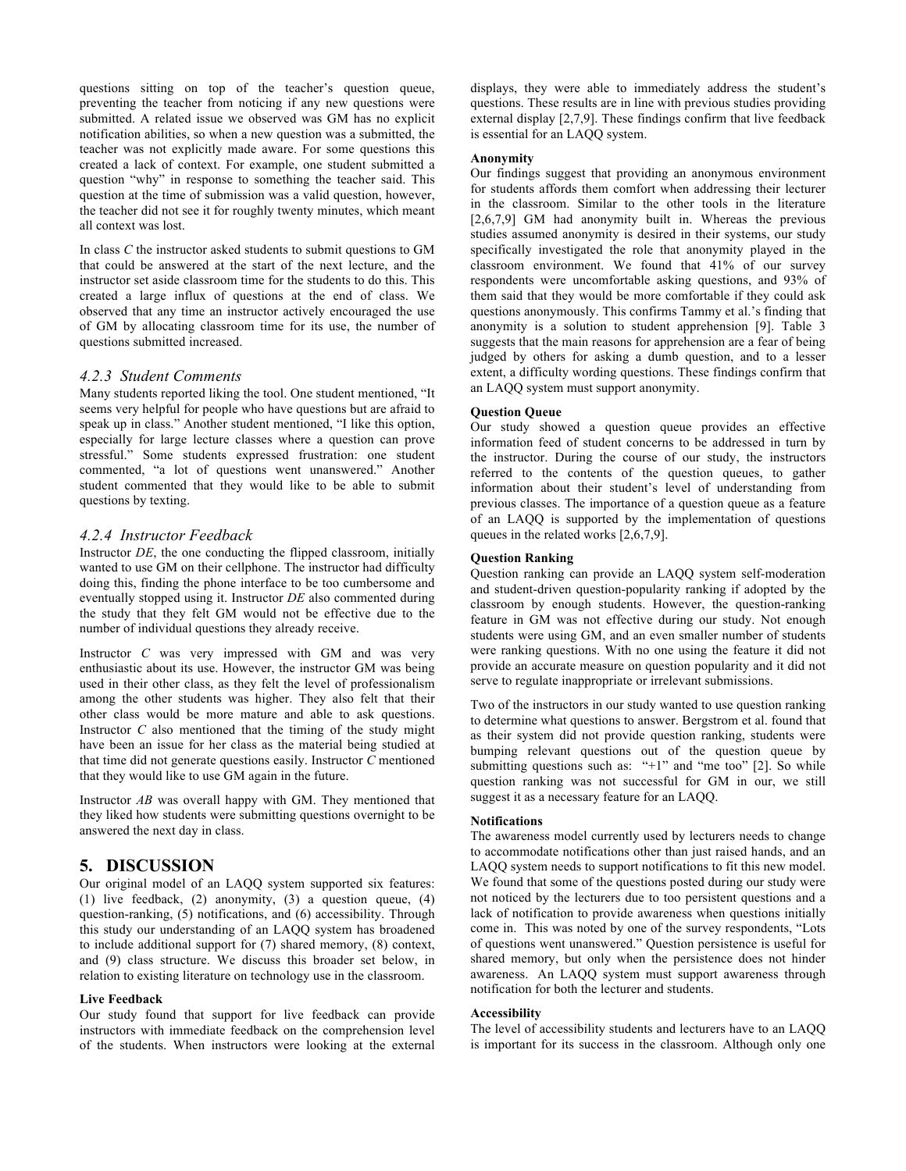questions sitting on top of the teacher's question queue, preventing the teacher from noticing if any new questions were submitted. A related issue we observed was GM has no explicit notification abilities, so when a new question was a submitted, the teacher was not explicitly made aware. For some questions this created a lack of context. For example, one student submitted a question "why" in response to something the teacher said. This question at the time of submission was a valid question, however, the teacher did not see it for roughly twenty minutes, which meant all context was lost.

In class *C* the instructor asked students to submit questions to GM that could be answered at the start of the next lecture, and the instructor set aside classroom time for the students to do this. This created a large influx of questions at the end of class. We observed that any time an instructor actively encouraged the use of GM by allocating classroom time for its use, the number of questions submitted increased.

#### *4.2.3 Student Comments*

Many students reported liking the tool. One student mentioned, "It seems very helpful for people who have questions but are afraid to speak up in class." Another student mentioned, "I like this option, especially for large lecture classes where a question can prove stressful." Some students expressed frustration: one student commented, "a lot of questions went unanswered." Another student commented that they would like to be able to submit questions by texting.

## *4.2.4 Instructor Feedback*

Instructor *DE*, the one conducting the flipped classroom, initially wanted to use GM on their cellphone. The instructor had difficulty doing this, finding the phone interface to be too cumbersome and eventually stopped using it. Instructor *DE* also commented during the study that they felt GM would not be effective due to the number of individual questions they already receive.

Instructor *C* was very impressed with GM and was very enthusiastic about its use. However, the instructor GM was being used in their other class, as they felt the level of professionalism among the other students was higher. They also felt that their other class would be more mature and able to ask questions. Instructor *C* also mentioned that the timing of the study might have been an issue for her class as the material being studied at that time did not generate questions easily. Instructor *C* mentioned that they would like to use GM again in the future.

Instructor *AB* was overall happy with GM. They mentioned that they liked how students were submitting questions overnight to be answered the next day in class.

## **5. DISCUSSION**

Our original model of an LAQQ system supported six features: (1) live feedback, (2) anonymity, (3) a question queue, (4) question-ranking, (5) notifications, and (6) accessibility. Through this study our understanding of an LAQQ system has broadened to include additional support for (7) shared memory, (8) context, and (9) class structure. We discuss this broader set below, in relation to existing literature on technology use in the classroom.

#### **Live Feedback**

Our study found that support for live feedback can provide instructors with immediate feedback on the comprehension level of the students. When instructors were looking at the external

displays, they were able to immediately address the student's questions. These results are in line with previous studies providing external display [2,7,9]. These findings confirm that live feedback is essential for an LAQQ system.

#### **Anonymity**

Our findings suggest that providing an anonymous environment for students affords them comfort when addressing their lecturer in the classroom. Similar to the other tools in the literature [2,6,7,9] GM had anonymity built in. Whereas the previous studies assumed anonymity is desired in their systems, our study specifically investigated the role that anonymity played in the classroom environment. We found that 41% of our survey respondents were uncomfortable asking questions, and 93% of them said that they would be more comfortable if they could ask questions anonymously. This confirms Tammy et al.'s finding that anonymity is a solution to student apprehension [9]. Table 3 suggests that the main reasons for apprehension are a fear of being judged by others for asking a dumb question, and to a lesser extent, a difficulty wording questions. These findings confirm that an LAQQ system must support anonymity.

#### **Question Queue**

Our study showed a question queue provides an effective information feed of student concerns to be addressed in turn by the instructor. During the course of our study, the instructors referred to the contents of the question queues, to gather information about their student's level of understanding from previous classes. The importance of a question queue as a feature of an LAQQ is supported by the implementation of questions queues in the related works [2,6,7,9].

#### **Question Ranking**

Question ranking can provide an LAQQ system self-moderation and student-driven question-popularity ranking if adopted by the classroom by enough students. However, the question-ranking feature in GM was not effective during our study. Not enough students were using GM, and an even smaller number of students were ranking questions. With no one using the feature it did not provide an accurate measure on question popularity and it did not serve to regulate inappropriate or irrelevant submissions.

Two of the instructors in our study wanted to use question ranking to determine what questions to answer. Bergstrom et al. found that as their system did not provide question ranking, students were bumping relevant questions out of the question queue by submitting questions such as: "+1" and "me too" [2]. So while question ranking was not successful for GM in our, we still suggest it as a necessary feature for an LAQQ.

#### **Notifications**

The awareness model currently used by lecturers needs to change to accommodate notifications other than just raised hands, and an LAQQ system needs to support notifications to fit this new model. We found that some of the questions posted during our study were not noticed by the lecturers due to too persistent questions and a lack of notification to provide awareness when questions initially come in. This was noted by one of the survey respondents, "Lots of questions went unanswered." Question persistence is useful for shared memory, but only when the persistence does not hinder awareness. An LAQQ system must support awareness through notification for both the lecturer and students.

#### **Accessibility**

The level of accessibility students and lecturers have to an LAQQ is important for its success in the classroom. Although only one